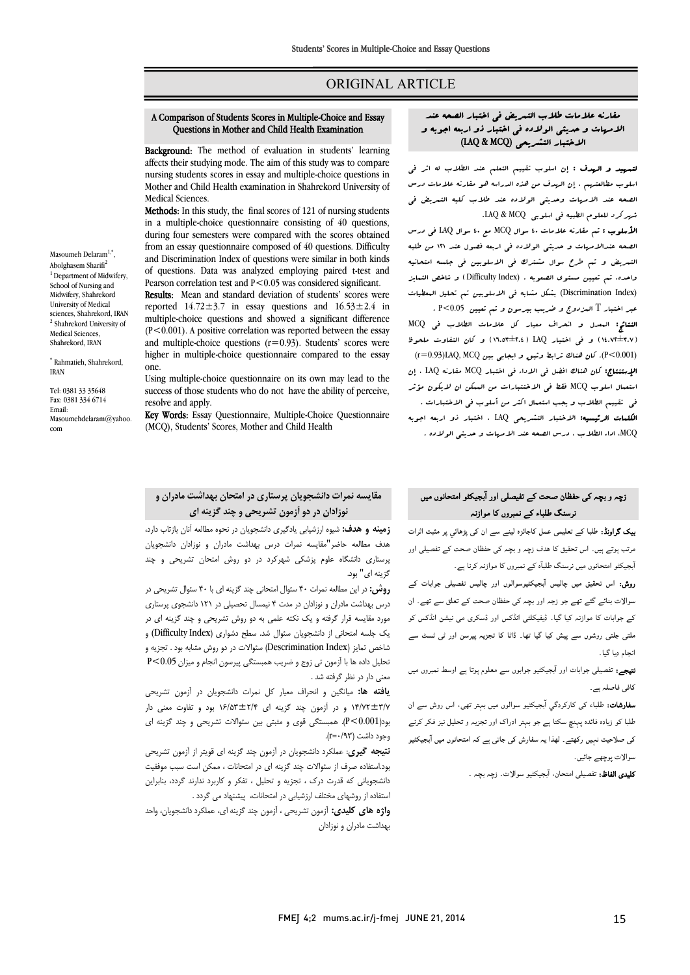### ORIGINAL ARTICLE

# A Comparison of Students Scores in Multiple-Choice and Essay Questions in Mother and Child Health Examination

Ī  $\overline{a}$ 

**Background:** The method of evaluation in students' learning **Example 1.** The included of evaluation in students teaming affects their studying mode. The aim of this study was to compare nursing students scores in essay and multiple-choice questions in Mother and Child Health examination in Shahrekord University of Medical Sciences.

Methods: In this study, the final scores of 121 of nursing students in a multiple-choice questionnaire consisting of 40 questions, from an essay questionnaire composed of 40 questions. Difficulty and Discrimination Index of questions were similar in both kinds of questions. Data was analyzed employing paired t-test and<br>Pearson correlation test and  $R \le 0.05$  was considered similizent. during four semesters were compared with the scores obtained Pearson correlation test and P < 0.05 was considered significant.

Results: Mean and standard deviation of students' scores were reported  $14.72 \pm 3.7$  in essay questions and  $16.53 \pm 2.4$  in  $(P<0.001)$ . A positive correlation was reported between the essay and multiple-choice questions (r=0.93). Students' scores were higher in multiple-choice questionnaire compared to the essay multiple-choice questions and showed a significant difference one.

 Using multiple-choice questionnaire on its own may lead to the success of those students who do not have the ability of perceive, resolve and apply.

**Key Words:** Essay Questionnaire, Multiple-Choice Questionnaire (MCQ), Students' Scores, Mother and Child Health

### مقایسه نمرات دانشجویان پرستاري در امتحان بهداشت مادران و نوزادان در دو آزمون تشریحی و چند گزینه اي

 زمینه و هدف: شیوه ارزشیابی یادگیري دانشجویان در نحوه مطالعه آنان بازتاب دارد، هدف مطالعه حاضر"مقایسه نمرات درس بهداشت مادران و نوزادان دانشجویان پرستاري دانشگاه علوم پزشکی شهرکرد در دو روش امتحان تشریحی و چند گزینه اي" بود.

 روش: در این مطالعه نمرات 40 سئوال امتحانی چند گزینه اي با 40 سئوال تشریحی در .<br>مورد مقایسه قرار گرفته و یک نکته علمی به دو روش تشریحی و چند گزینه ای در یک جلسه امتحانی از دانشجویان سئوال شد. سطح دشواري (Index Difficulty (و شاخص تمایز (Index Descrimination (سئوالات در دو روش مشابه بود . تجزیه و تحلیل داده ها با آزمون تی زوج و ضریب همبستگی پیرسون انجام و میزان 0.05>P معنی دار در نظر گرفته شد . درس بهداشت مادران و نوزادان در مدت 4 نیمسال تحصیلی در 121 دانشجوي پرستاري

**یافته ها:** میانگین <sub>و</sub> انحراف معیار کل نمرات دانشجویان در آزمون تشریحی بود(0.001>P(. همبستگی قوي و مثبتی بین سئوالات تشریحی و چند گزینه اي 14/72±3/7 و در آزمون چند گزینه اي 16/53±2/4 بود و تفاوت معنی دار وجود داشت (r=٠/٩٣).

.<br>ن**تیجه گیری:** عملکرد دانشجویان در آزمون چند گزینه ای قویتر از آزمون تشریحی بود.استفاده صرف از سئوالات چند گزینه اي در امتحانات ، ممکن است سبب موفقیت دانشجویانی که قدرت درك ، تجزیه و تحلیل ، تفکر و کاربرد ندارند گردد، بنابراین استفاده از روشهاي مختلف ارزشیابی در امتحانات، پیشنهاد می گردد .

 واژه هاي کلیدي: آزمون تشریحی ، آزمون چند گزینه اي، عملکرد دانشجویان، واحد بهداشت مادران و نوزادان

## مقارنه علامات طلاب التمریض فی اختبار الصحه عند الامهات و حدیثی الولاده فی اختبار ذو اربعه اجوبه و الاختبار التشریحی (MCQ & LAQ (

Ī  $\overline{a}$ 

 لتمهید و الهدف : إن اسلوب تقییم التعلم عند الطلاب له اثر فی الصحیة عند الامهات الصحت عن عند الترابة عواصلات عند عند الا ق<br>الصحه عند الامهات وحدیثی الولاده عند طلاب کلیه التبریض فی شهرکرد للعلوم الطبیه فی اسلوبی MCQ & LAQ. اسلوب مطالعتهم ، إن الهدف من هذه الدراسه هو مقارنه علامات درس

 الأسلوب : تم مقارنه علامات 40 سوال MCQ مع 40 سوال LAQ فی درس الصحه عندالامهات و حدیثی الولاده فی اربعه فصول عند 121 من طلبه التمریض و تم طرح سوال مشترك فی الاسلوبین فی جلسه امتحانیه واحده. تم تعیین مستوي الصعوبه . (Index Difficulty (و شاخص التمایز (Index Discrimination (بشکل مشابه فی الاسلوبین تم تحلیل المعطیات عبر اختبار T المزدوج و ضریب بیرسون و تم تعیین 0.05>P . النتائج: المعدل و انحراف معیار کل علامات الطلاب فی MCQ (14.72±3.7) و فی اختبار LAQ) 16.53±2.4 (و کان التفاوت ملحوظ (P<0.001). کان هناك ترابط وثیق و ایجابی بین JAQ, MCQ (r=0.93) الإستنتاج: کان هناك افضل فی الاداء فی اختبار MCQ مقارنه LAQ ، إن مسمدن ستوم جنگان سه می استعمالات من استعمل ان سیسول مو<br>فی تقییم الطلاب و یجب استعمال اکثر من أسلوب فی الاختبارات . ی معیودی مستبد از بهتر استان معرض الرئیسی مستقیمات<br>**الکلمات الرئیسیه:** الاختبار التشریحی LAQ ، اختبار ذو اربعه اجوبه MCQ، اداء الطلاب ، درس الصحه عند الامهات و حدیثی الولاده . استعمال اسلوب MCQ فقط فی الاختتبارات من الممکن ان لایکون مؤثر

## زچہ و بچہ کی حفظان صحت کے تفیصلی اور آبجیکٹو امتحانوں میں نرسنگ طلباء کے نمبروں کا موازنہ

**یک گراونڈ:** طلبا کے تعلیمی عمل کاجائزہ لینے سے ان کی پڑھائي پر مثبت اثرات .<br>سرتب ہوتے ہیں۔ اس تحقیق کا ہدف زچہ و بچہ کی حفظان صحت کے تفصیلی اور ۔<br>بجیکٹو امتحانوں میں نرسنگ طلباّہ کے نمبروں کا موازنہ کرنا ہے۔

ر**وش:** اس تحقیق میں چالیس آبجیکٹیوسوالوں اور چالیس تفصیلی جوابات کے ۔<br>سوالات بنائے گئے تھے جو زجہ اور بچہ کی حفظان صحت کے تعلق سے تھے۔ ان کے جوابات کا موازنہ کیا گیا۔ ڈیفیکلٹی انڈکس اور ڈسکری می نیشن انڈکس کو ۔<br>ملتی جلتی روشوں سے پیش کیا گیا تھا۔ ڈاٹا کا تجزیہ پیرسن اور ٹی ٹسٹ سے انجام دیا گیا۔

l<br>J **تیجے:** تفصیلی جوابات اور آبجیکٹیو جوابوں سے معلوم ہوتا ہے اوسط نمبروں میں<br>مانستار ا کافی فاصلہ ہے۔

ں<br>**سفارشات:** طلباء کی کارکردگیِ آبجیکٹیو سوالوں میں بہتر تھی، اس روش سے ان طلبا کو زیادہ فائدہ پہنچ سکتا ہے جو بہتر ادراک اور تجزیہ و تحلیل نیز فکر کرنے<br>مسلمان کی صلاحیت نہیں رکھتے۔ لھذا یہ سفارش کی جاتی ہے کہ امتحانوں میں آبجیکٹیو<br>۔۔۔ سوالات پوچھے جائیں۔<br>ـ

**کلیدی الفاظ:** تفصیلی امتحان، آبجیکٹیو سوالات. زچہ بچہ ۔<br>-

Masoumeh Delaram<sup>1,\*</sup>, Abolghasem Sharifi<sup>2</sup> <sup>1</sup> Department of Midwifery, School of Nursing and Midwifery, Shahrekord University of Medical sciences, Shahrekord, IRAN <sup>2</sup> Shahrekord University of Medical Sciences, Shahrekord, IRAN

\* Rahmatieh, Shahrekord, IRAN

Tel: 0381 33 35648 Fax: 0381 334 6714 Email: Masoumehdelaram@yahoo. com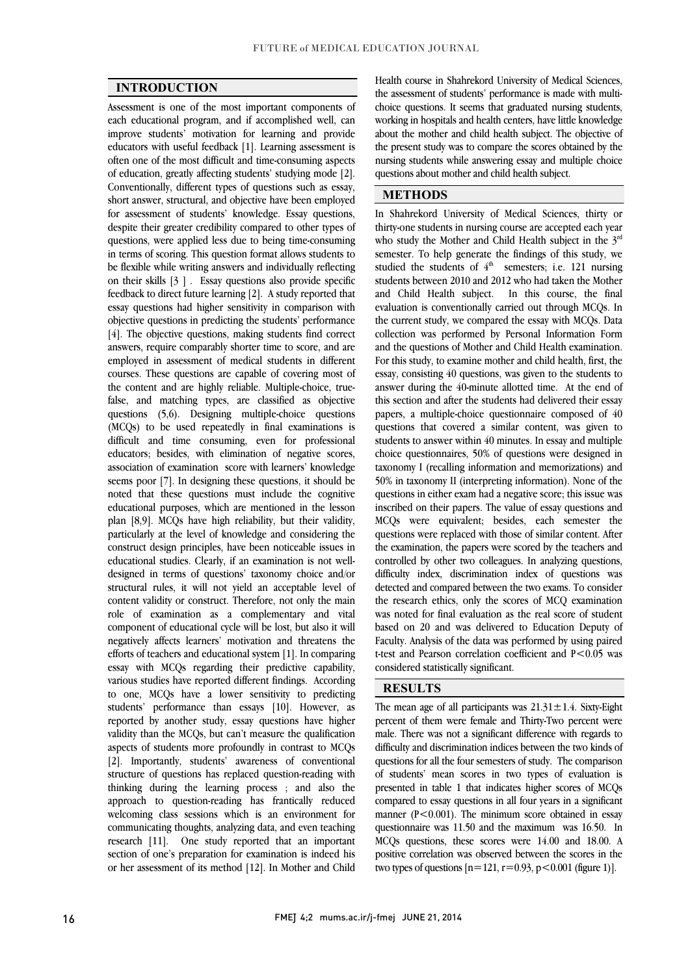j <u>.</u>

 $\overline{a}$  $\overline{a}$ 

#### INTRODUCTION

 Assessment is one of the most important components of each educational program, and if accomplished well, can educators with useful feedback [1]. Learning assessment is often one of the most difficult and time-consuming aspects of education, greatly affecting students' studying mode [2]. Conventionally, different types of questions such as essay, for assessment of students' knowledge. Essay questions, despite their greater credibility compared to other types of questions, were applied less due to being time-consuming in terms of scoring. This question format allows students to on their skills [3 ] . Essay questions also provide specific feedback to direct future learning [2]. A study reported that essay questions had higher sensitivity in comparison with objective questions in predicting the students' performance answers, require comparably shorter time to score, and are employed in assessment of medical students in different courses. These questions are capable of covering most of false, and matching types, are classified as objective questions (5,6). Designing multiple-choice questions (MCQs) to be used repeatedly in final examinations is difficult and time consuming, even for professional association of examination score with learners' knowledge seems poor [7]. In designing these questions, it should be noted that these questions must include the cognitive educational purposes, which are mentioned in the lesson particularly at the level of knowledge and considering the construct design principles, have been noticeable issues in educational studies. Clearly, if an examination is not well- designed in terms of questions' taxonomy choice and/or content validity or construct. Therefore, not only the main role of examination as a complementary and vital component of educational cycle will be lost, but also it will efforts of teachers and educational system [1]. In comparing essay with MCQs regarding their predictive capability, various studies have reported different findings. According to one, MCQs have a lower sensitivity to predicting students' performance than essays [10]. However, as validity than the MCQs, but can't measure the qualification aspects of students more profoundly in contrast to MCQs [2]. Importantly, students' awareness of conventional thinking during the learning process ; and also the approach to question-reading has frantically reduced welcoming class sessions which is an environment for communicating thoughts, analyzing data, and even teaching section of one's preparation for examination is indeed his or her assessment of its method [12]. In Mother and Child improve students' motivation for learning and provide short answer, structural, and objective have been employed be flexible while writing answers and individually reflecting [4]. The objective questions, making students find correct the content and are highly reliable. Multiple-choice, trueeducators; besides, with elimination of negative scores, plan [8,9]. MCQs have high reliability, but their validity, structural rules, it will not yield an acceptable level of negatively affects learners' motivation and threatens the reported by another study, essay questions have higher structure of questions has replaced question-reading with research [11]. One study reported that an important

 the assessment of students' performance is made with multi- choice questions. It seems that graduated nursing students, working in hospitals and health centers, have little knowledge the present study was to compare the scores obtained by the nursing students while answering essay and multiple choice Health course in Shahrekord University of Medical Sciences, about the mother and child health subject. The objective of questions about mother and child health subject.

### METHODS

 In Shahrekord University of Medical Sciences, thirty or thirty-one students in nursing course are accepted each year who study the Mother and Child Health subject in the  $3^{rd}$ semester. To help generate the initially of this study, we studied the students of  $4<sup>th</sup>$  semesters; i.e. 121 nursing students between 2010 and 2012 who had taken the Mother and Child Health subject. In this course, the final evaluation is conventionally carried out through MCQs. In collection was performed by Personal Information Form and the questions of Mother and Child Health examination. For this study, to examine mother and child health, first, the essay, consisting 40 questions, was given to the students to aliswer during the To-himate aholted their. The the end of papers, a multiple-choice questionnaire composed of 40 questions that covered a similar content, was given to students to answer within 40 minutes. In essay and multiple taxonomy I (recalling information and memorizations) and 50% in taxonomy II (interpreting information). None of the questions in either exam had a negative score; this issue was inscribed on their papers. The value of essay questions and questions were replaced with those of similar content. After the examination, the papers were scored by the teachers and controlled by other two colleagues. In analyzing questions, difficulty index, discrimination findex of questions was<br>detected and compared between the two exams. To consider the research ethics, only the scores of MCQ examination was noted for final evaluation as the real score of student based on 20 and was delivered to Education Deputy of t-test and Pearson correlation coefficient and P<0.05 was semester. To help generate the findings of this study, we the current study, we compared the essay with MCQs. Data answer during the 40-minute allotted time. At the end of choice questionnaires, 50% of questions were designed in MCQs were equivalent; besides, each semester the difficulty index, discrimination index of questions was Faculty. Analysis of the data was performed by using paired considered statistically significant.

### RESULTS

The mean age of all participants was  $21.31 \pm 1.4$ . Sixty-Eight percent of them were female and Thirty-Two percent were male. There was not a significant difference with regards to difficulty and discrimination indices between the two kinds of questions for all the four semesters of study. The comparison presented in table 1 that indicates higher scores of MCQs compared to essay questions in all four years in a significant manner (P<0.001). The minimum score obtained in essay questionnaire was 11.50 and the maximum was 16.50. In positive correlation was observed between the scores in the two types of questions  $[n=121, r=0.93, p<0.001$  (figure 1)]. of students' mean scores in two types of evaluation is MCQs questions, these scores were 14.00 and 18.00. A

ī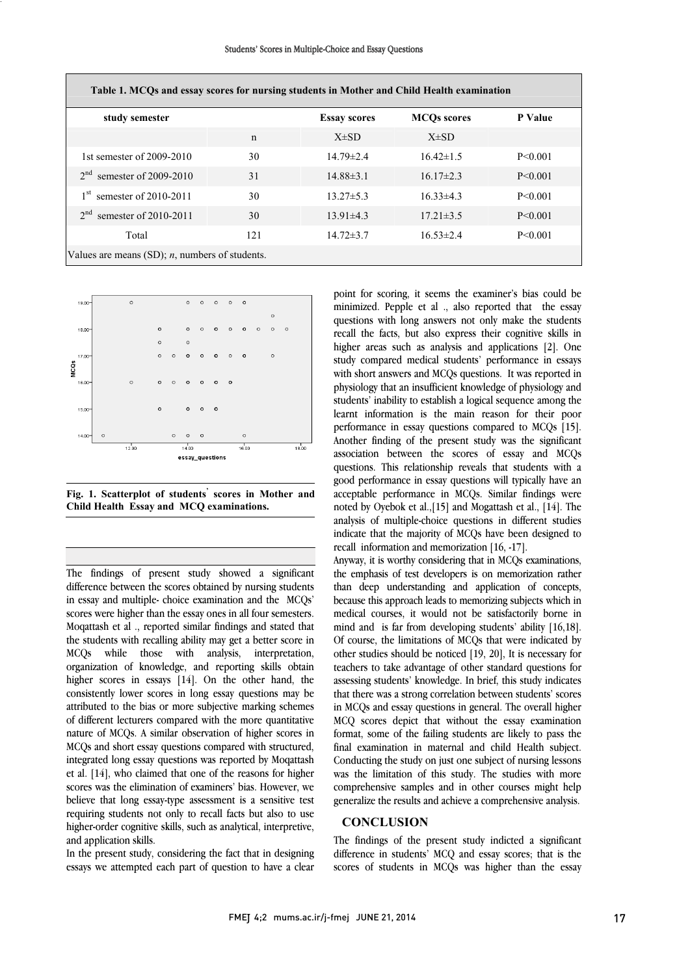|  |  |  |  |  |  |  | Students' Scores in Multiple-Choice and Essay Questions |
|--|--|--|--|--|--|--|---------------------------------------------------------|
|--|--|--|--|--|--|--|---------------------------------------------------------|

| Table 1. MCQs and essay scores for nursing students in Mother and Child Health examination |     |                     |                    |               |  |  |  |  |  |
|--------------------------------------------------------------------------------------------|-----|---------------------|--------------------|---------------|--|--|--|--|--|
| study semester                                                                             |     | <b>Essay scores</b> | <b>MCOs scores</b> | P Value       |  |  |  |  |  |
|                                                                                            | n   | $X\pm SD$           | $X\pm SD$          |               |  |  |  |  |  |
| 1st semester of $2009-2010$                                                                | 30  | $14.79 \pm 2.4$     | $16.42\pm1.5$      | $P \le 0.001$ |  |  |  |  |  |
| semester of $2009-2010$<br>$2^{nd}$                                                        | 31  | $14.88\pm3.1$       | $16.17\pm2.3$      | $P \le 0.001$ |  |  |  |  |  |
| semester of $2010-2011$<br>1 <sup>st</sup>                                                 | 30  | $13.27 \pm 5.3$     | $16.33\pm 4.3$     | $P \le 0.001$ |  |  |  |  |  |
| 2 <sup>nd</sup><br>semester of $2010-2011$                                                 | 30  | $13.91 \pm 4.3$     | $17.21 \pm 3.5$    | $P \le 0.001$ |  |  |  |  |  |
| Total                                                                                      | 121 | $14.72 \pm 3.7$     | $16.53 \pm 2.4$    | $P \le 0.001$ |  |  |  |  |  |
| Values are means $(SD)$ ; <i>n</i> , numbers of students.                                  |     |                     |                    |               |  |  |  |  |  |



 Fig. 1. Scatterplot of students' scores in Mother and  $\overline{a}$ Child Health Essay and MCQ examinations.

L The findings of present study showed a significant in essay and multiple- choice examination and the MCQs' scores were higher than the essay ones in all four semesters. Moqattash et al ., reported similar findings and stated that In the students with recaining ability may get a better score in<br>MCQs while those with analysis, interpretation, organization of knowledge, and reporting skills obtain higher scores in essays [14]. On the other hand, the consistently lower scores in long essay questions may be of different lecturers compared with the more quantitative nature of MCQs. A similar observation of higher scores in MCQs and short essay questions compared with structured, integrated long essay questions was reported by Moqattash scores was the elimination of examiners' bias. However, we believe that long essay-type assessment is a sensitive test requiring students not only to recall facts but also to use higher-order cognitive skills, such as analytical, interpretive, difference between the scores obtained by nursing students the students with recalling ability may get a better score in attributed to the bias or more subjective marking schemes et al. [14], who claimed that one of the reasons for higher and application skills.

In the present study, considering the fact that in designing essays we attempted each part of question to have a clear

 point for scoring, it seems the examiner's bias could be minimized. Pepple et al ., also reported that the essay recall the facts, but also express their cognitive skills in higher areas such as analysis and applications [2]. One study compared medical students' performance in essays with short answers and MCQs questions. It was reported in students' inability to establish a logical sequence among the learnt information is the main reason for their poor performance in essay questions compared to MCQs [15]. Another finding of the present study was the significant questions. This relationship reveals that students with a good performance in essay questions will typically have an acceptable performance in MCQs. Similar findings were noted by Oyebok et al.,[15] and Mogattash et al., [14]. The indicate that the majority of MCQs have been designed to questions with long answers not only make the students physiology that an insufficient knowledge of physiology and association between the scores of essay and MCQs analysis of multiple-choice questions in different studies recall information and memorization [16, -17].

 Anyway, it is worthy considering that in MCQs examinations, the emphasis of test developers is on inemorization rather<br>than deep understanding and application of concepts, because this approach leads to memorizing subjects which in medical courses, it would not be satisfactorily borne in mind and is far from developing students' ability [16,18]. of course, the miniations of MCQs that were miniated by other studies should be noticed [19, 20], It is necessary for teachers to take advantage of other standard questions for assessing students' knowledge. In brief, this study indicates that there was a strong correlation between students' scores MCQ scores depict that without the essay examination format, some of the failing students are likely to pass the final examination in maternal and child Health subject. Conducting the study on just one subject of nursing lessons comprehensive samples and in other courses might help generalize the results and achieve a comprehensive analysis. the emphasis of test developers is on memorization rather Of course, the limitations of MCQs that were indicated by in MCQs and essay questions in general. The overall higher was the limitation of this study. The studies with more

#### **CONCLUSION**

 The findings of the present study indicted a significant difference in students' MCQ and essay scores; that is the scores of students in MCQs was higher than the essay